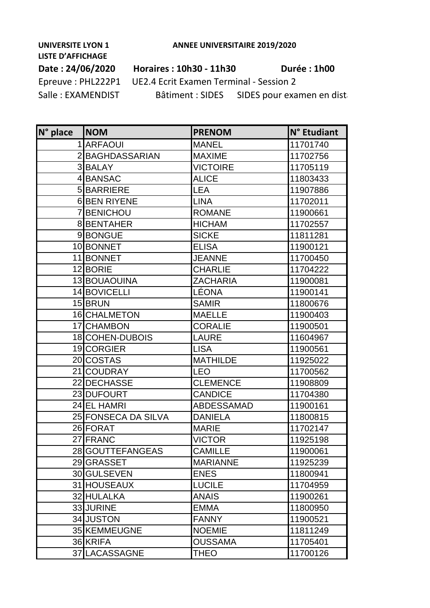## **LISTE D'AFFICHAGE**

## **Date : 24/06/2020 Horaires : 10h30 - 11h30 Durée : 1h00**

Epreuve : PHL222P1 UE2.4 Ecrit Examen Terminal - Session 2 Salle : EXAMENDIST Bâtiment : SIDES SIDES pour examen en distanciella

| N° place | <b>NOM</b>          | <b>PRENOM</b>     | N° Etudiant |
|----------|---------------------|-------------------|-------------|
|          | 1 ARFAOUI           | <b>MANEL</b>      | 11701740    |
|          | 2 BAGHDASSARIAN     | <b>MAXIME</b>     | 11702756    |
|          | 3BALAY              | <b>VICTOIRE</b>   | 11705119    |
|          | 4BANSAC             | <b>ALICE</b>      | 11803433    |
|          | 5BARRIERE           | <b>LEA</b>        | 11907886    |
|          | 6BEN RIYENE         | <b>LINA</b>       | 11702011    |
|          | <b>7 BENICHOU</b>   | <b>ROMANE</b>     | 11900661    |
|          | 8BENTAHER           | <b>HICHAM</b>     | 11702557    |
|          | 9BONGUE             | <b>SICKE</b>      | 11811281    |
|          | 10 BONNET           | <b>ELISA</b>      | 11900121    |
|          | 11 BONNET           | <b>JEANNE</b>     | 11700450    |
|          | 12 BORIE            | <b>CHARLIE</b>    | 11704222    |
|          | 13 BOUAOUINA        | <b>ZACHARIA</b>   | 11900081    |
|          | 14 BOVICELLI        | LÉONA             | 11900141    |
|          | 15 BRUN             | <b>SAMIR</b>      | 11800676    |
|          | 16 CHALMETON        | <b>MAELLE</b>     | 11900403    |
|          | 17 CHAMBON          | <b>CORALIE</b>    | 11900501    |
|          | 18 COHEN-DUBOIS     | <b>LAURE</b>      | 11604967    |
|          | 19 CORGIER          | <b>LISA</b>       | 11900561    |
|          | 20 COSTAS           | <b>MATHILDE</b>   | 11925022    |
|          | 21 COUDRAY          | <b>LEO</b>        | 11700562    |
|          | 22 DECHASSE         | <b>CLEMENCE</b>   | 11908809    |
|          | 23 DUFOURT          | <b>CANDICE</b>    | 11704380    |
|          | 24 EL HAMRI         | <b>ABDESSAMAD</b> | 11900161    |
|          | 25 FONSECA DA SILVA | <b>DANIELA</b>    | 11800815    |
|          | 26 FORAT            | <b>MARIE</b>      | 11702147    |
|          | 27 FRANC            | <b>VICTOR</b>     | 11925198    |
|          | 28 GOUTTEFANGEAS    | <b>CAMILLE</b>    | 11900061    |
|          | 29 GRASSET          | <b>MARIANNE</b>   | 11925239    |
|          | 30 GULSEVEN         | <b>ENES</b>       | 11800941    |
|          | 31 HOUSEAUX         | <b>LUCILE</b>     | 11704959    |
|          | 32 HULALKA          | <b>ANAIS</b>      | 11900261    |
|          | 33 JURINE           | EMMA              | 11800950    |
|          | 34 JUSTON           | <b>FANNY</b>      | 11900521    |
|          | 35 KEMMEUGNE        | <b>NOEMIE</b>     | 11811249    |
|          | 36 KRIFA            | <b>OUSSAMA</b>    | 11705401    |
|          | 37 LACASSAGNE       | THEO              | 11700126    |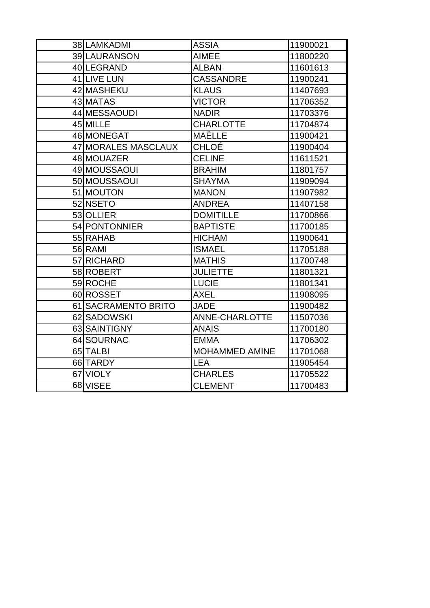| 38 LAMKADMI         | <b>ASSIA</b>          | 11900021 |
|---------------------|-----------------------|----------|
| 39 LAURANSON        | <b>AIMEE</b>          | 11800220 |
| 40 LEGRAND          | <b>ALBAN</b>          | 11601613 |
| 41 LIVE LUN         | <b>CASSANDRE</b>      | 11900241 |
| 42 MASHEKU          | <b>KLAUS</b>          | 11407693 |
| 43 MATAS            | <b>VICTOR</b>         | 11706352 |
| 44 MESSAOUDI        | <b>NADIR</b>          | 11703376 |
| 45 MILLE            | <b>CHARLOTTE</b>      | 11704874 |
| 46 MONEGAT          | MAËLLE                | 11900421 |
| 47 MORALES MASCLAUX | CHLOÉ                 | 11900404 |
| 48 MOUAZER          | <b>CELINE</b>         | 11611521 |
| 49 MOUSSAOUI        | <b>BRAHIM</b>         | 11801757 |
| 50 MOUSSAOUI        | <b>SHAYMA</b>         | 11909094 |
| 51 MOUTON           | <b>MANON</b>          | 11907982 |
| 52 NSETO            | <b>ANDREA</b>         | 11407158 |
| 53 OLLIER           | <b>DOMITILLE</b>      | 11700866 |
| 54 PONTONNIER       | <b>BAPTISTE</b>       | 11700185 |
| 55 RAHAB            | <b>HICHAM</b>         | 11900641 |
| 56 RAMI             | <b>ISMAEL</b>         | 11705188 |
| 57 RICHARD          | <b>MATHIS</b>         | 11700748 |
| 58 ROBERT           | <b>JULIETTE</b>       | 11801321 |
| 59 ROCHE            | <b>LUCIE</b>          | 11801341 |
| 60 ROSSET           | AXEL                  | 11908095 |
| 61 SACRAMENTO BRITO | <b>JADE</b>           | 11900482 |
| 62 SADOWSKI         | <b>ANNE-CHARLOTTE</b> | 11507036 |
| 63 SAINTIGNY        | <b>ANAIS</b>          | 11700180 |
| 64 SOURNAC          | <b>EMMA</b>           | 11706302 |
| 65 TALBI            | <b>MOHAMMED AMINE</b> | 11701068 |
| 66 TARDY            | <b>LEA</b>            | 11905454 |
| 67 VIOLY            | <b>CHARLES</b>        | 11705522 |
| 68 VISEE            | <b>CLEMENT</b>        | 11700483 |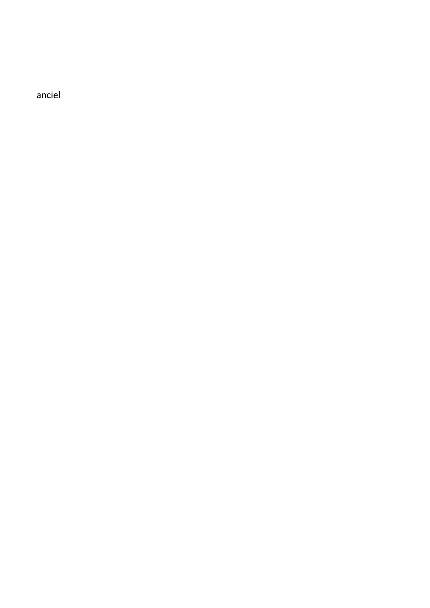sanciel